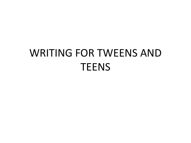# WRITING FOR TWEENS AND **TEENS**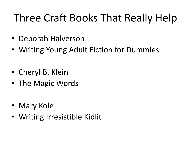# Three Craft Books That Really Help

- Deborah Halverson
- Writing Young Adult Fiction for Dummies
- Cheryl B. Klein
- The Magic Words
- Mary Kole
- Writing Irresistible Kidlit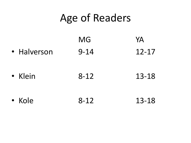#### Age of Readers

|                   | MG       | YA        |
|-------------------|----------|-----------|
| • Halverson       | $9 - 14$ | $12 - 17$ |
| • Klein           | $8 - 12$ | 13-18     |
| Kole<br>$\bullet$ | $8 - 12$ | 13-18     |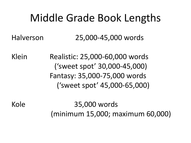#### Middle Grade Book Lengths

Halverson 25,000-45,000 words

Klein Realistic: 25,000-60,000 words ('sweet spot' 30,000-45,000) Fantasy: 35,000-75,000 words ('sweet spot' 45,000-65,000)

Kole 35,000 words (minimum 15,000; maximum 60,000)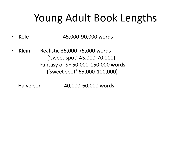# Young Adult Book Lengths

- Kole 45,000-90,000 words
- Klein Realistic 35,000-75,000 words ('sweet spot' 45,000-70,000) Fantasy or SF 50,000-150,000 words ('sweet spot' 65,000-100,000)

Halverson 40,000-60,000 words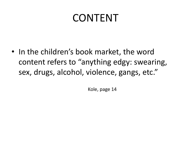#### CONTENT

• In the children's book market, the word content refers to "anything edgy: swearing, sex, drugs, alcohol, violence, gangs, etc."

Kole, page 14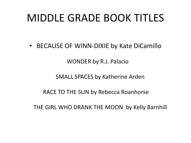### MIDDLE GRADE BOOK TITLES

• BECAUSE OF WINN-DIXIE by Kate DiCamillo

WONDER by R.J. Palacio

SMALL SPACES by Katherine Arden

RACE TO THE SUN by Rebecca Roanhorse

THE GIRL WHO DRANK THE MOON by Kelly Barnhill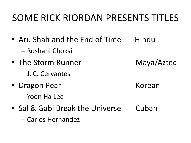#### SOME RICK RIORDAN PRESENTS TITLES

- Aru Shah and the End of Time Hindu – Roshani Choksi
- The Storm Runner Maya/Aztec
	- J. C. Cervantes
- Dragon Pearl Korean
	- Yoon Ha Lee
- Sal & Gabi Break the Universe Cuban – Carlos Hernandez